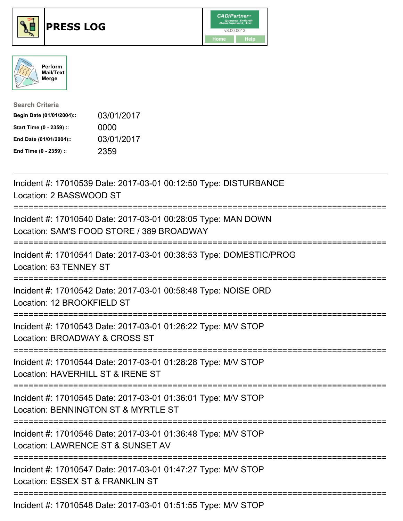





| <b>Search Criteria</b>    |            |
|---------------------------|------------|
| Begin Date (01/01/2004):: | 03/01/2017 |
| Start Time (0 - 2359) ::  | 0000       |
| End Date (01/01/2004)::   | 03/01/2017 |
| End Time (0 - 2359) ::    | 2359       |

| Incident #: 17010539 Date: 2017-03-01 00:12:50 Type: DISTURBANCE<br>Location: 2 BASSWOOD ST                                       |
|-----------------------------------------------------------------------------------------------------------------------------------|
| Incident #: 17010540 Date: 2017-03-01 00:28:05 Type: MAN DOWN<br>Location: SAM'S FOOD STORE / 389 BROADWAY                        |
| Incident #: 17010541 Date: 2017-03-01 00:38:53 Type: DOMESTIC/PROG<br>Location: 63 TENNEY ST                                      |
| Incident #: 17010542 Date: 2017-03-01 00:58:48 Type: NOISE ORD<br>Location: 12 BROOKFIELD ST                                      |
| Incident #: 17010543 Date: 2017-03-01 01:26:22 Type: M/V STOP<br>Location: BROADWAY & CROSS ST<br>;============================== |
| Incident #: 17010544 Date: 2017-03-01 01:28:28 Type: M/V STOP<br>Location: HAVERHILL ST & IRENE ST                                |
| Incident #: 17010545 Date: 2017-03-01 01:36:01 Type: M/V STOP<br>Location: BENNINGTON ST & MYRTLE ST                              |
| Incident #: 17010546 Date: 2017-03-01 01:36:48 Type: M/V STOP<br>Location: LAWRENCE ST & SUNSET AV                                |
| Incident #: 17010547 Date: 2017-03-01 01:47:27 Type: M/V STOP<br>Location: ESSEX ST & FRANKLIN ST                                 |
|                                                                                                                                   |

Incident #: 17010548 Date: 2017-03-01 01:51:55 Type: M/V STOP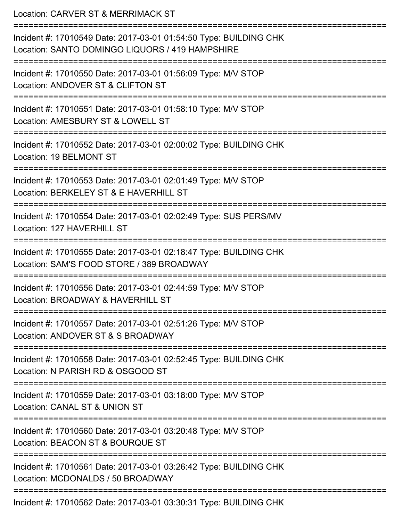Location: CARVER ST & MERRIMACK ST =========================================================================== Incident #: 17010549 Date: 2017-03-01 01:54:50 Type: BUILDING CHK Location: SANTO DOMINGO LIQUORS / 419 HAMPSHIRE =========================================================================== Incident #: 17010550 Date: 2017-03-01 01:56:09 Type: M/V STOP Location: ANDOVER ST & CLIFTON ST =========================================================================== Incident #: 17010551 Date: 2017-03-01 01:58:10 Type: M/V STOP Location: AMESBURY ST & LOWELL ST =========================================================================== Incident #: 17010552 Date: 2017-03-01 02:00:02 Type: BUILDING CHK Location: 19 BELMONT ST =========================================================================== Incident #: 17010553 Date: 2017-03-01 02:01:49 Type: M/V STOP Location: BERKELEY ST & E HAVERHILL ST =========================================================================== Incident #: 17010554 Date: 2017-03-01 02:02:49 Type: SUS PERS/MV Location: 127 HAVERHILL ST =========================================================================== Incident #: 17010555 Date: 2017-03-01 02:18:47 Type: BUILDING CHK Location: SAM'S FOOD STORE / 389 BROADWAY =========================================================================== Incident #: 17010556 Date: 2017-03-01 02:44:59 Type: M/V STOP Location: BROADWAY & HAVERHILL ST =========================================================================== Incident #: 17010557 Date: 2017-03-01 02:51:26 Type: M/V STOP Location: ANDOVER ST & S BROADWAY =========================================================================== Incident #: 17010558 Date: 2017-03-01 02:52:45 Type: BUILDING CHK Location: N PARISH RD & OSGOOD ST =========================================================================== Incident #: 17010559 Date: 2017-03-01 03:18:00 Type: M/V STOP Location: CANAL ST & UNION ST =========================================================================== Incident #: 17010560 Date: 2017-03-01 03:20:48 Type: M/V STOP Location: BEACON ST & BOURQUE ST =========================================================================== Incident #: 17010561 Date: 2017-03-01 03:26:42 Type: BUILDING CHK Location: MCDONALDS / 50 BROADWAY ===========================================================================

Incident #: 17010562 Date: 2017-03-01 03:30:31 Type: BUILDING CHK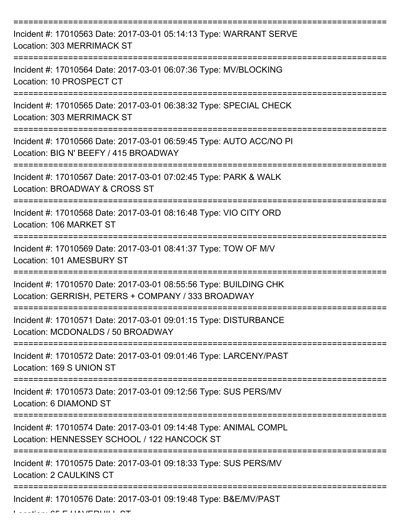| Incident #: 17010563 Date: 2017-03-01 05:14:13 Type: WARRANT SERVE<br>Location: 303 MERRIMACK ST                        |
|-------------------------------------------------------------------------------------------------------------------------|
| Incident #: 17010564 Date: 2017-03-01 06:07:36 Type: MV/BLOCKING<br>Location: 10 PROSPECT CT                            |
| Incident #: 17010565 Date: 2017-03-01 06:38:32 Type: SPECIAL CHECK<br>Location: 303 MERRIMACK ST                        |
| Incident #: 17010566 Date: 2017-03-01 06:59:45 Type: AUTO ACC/NO PI<br>Location: BIG N' BEEFY / 415 BROADWAY            |
| Incident #: 17010567 Date: 2017-03-01 07:02:45 Type: PARK & WALK<br>Location: BROADWAY & CROSS ST                       |
| Incident #: 17010568 Date: 2017-03-01 08:16:48 Type: VIO CITY ORD<br>Location: 106 MARKET ST                            |
| Incident #: 17010569 Date: 2017-03-01 08:41:37 Type: TOW OF M/V<br>Location: 101 AMESBURY ST                            |
| Incident #: 17010570 Date: 2017-03-01 08:55:56 Type: BUILDING CHK<br>Location: GERRISH, PETERS + COMPANY / 333 BROADWAY |
| Incident #: 17010571 Date: 2017-03-01 09:01:15 Type: DISTURBANCE<br>Location: MCDONALDS / 50 BROADWAY                   |
| Incident #: 17010572 Date: 2017-03-01 09:01:46 Type: LARCENY/PAST<br>Location: 169 S UNION ST                           |
| Incident #: 17010573 Date: 2017-03-01 09:12:56 Type: SUS PERS/MV<br>Location: 6 DIAMOND ST                              |
| Incident #: 17010574 Date: 2017-03-01 09:14:48 Type: ANIMAL COMPL<br>Location: HENNESSEY SCHOOL / 122 HANCOCK ST        |
| Incident #: 17010575 Date: 2017-03-01 09:18:33 Type: SUS PERS/MV<br>Location: 2 CAULKINS CT                             |
| Incident #: 17010576 Date: 2017-03-01 09:19:48 Type: B&E/MV/PAST                                                        |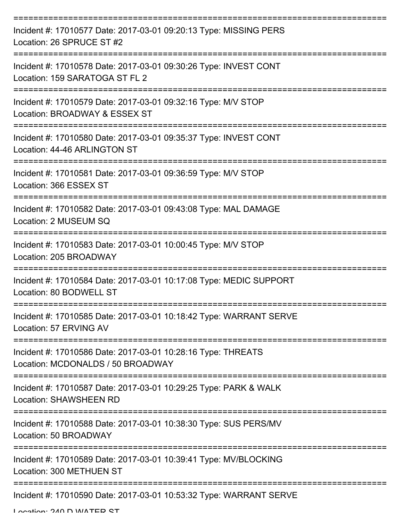| Incident #: 17010577 Date: 2017-03-01 09:20:13 Type: MISSING PERS<br>Location: 26 SPRUCE ST #2     |
|----------------------------------------------------------------------------------------------------|
| Incident #: 17010578 Date: 2017-03-01 09:30:26 Type: INVEST CONT<br>Location: 159 SARATOGA ST FL 2 |
| Incident #: 17010579 Date: 2017-03-01 09:32:16 Type: M/V STOP<br>Location: BROADWAY & ESSEX ST     |
| Incident #: 17010580 Date: 2017-03-01 09:35:37 Type: INVEST CONT<br>Location: 44-46 ARLINGTON ST   |
| Incident #: 17010581 Date: 2017-03-01 09:36:59 Type: M/V STOP<br>Location: 366 ESSEX ST            |
| Incident #: 17010582 Date: 2017-03-01 09:43:08 Type: MAL DAMAGE<br>Location: 2 MUSEUM SQ           |
| Incident #: 17010583 Date: 2017-03-01 10:00:45 Type: M/V STOP<br>Location: 205 BROADWAY            |
| Incident #: 17010584 Date: 2017-03-01 10:17:08 Type: MEDIC SUPPORT<br>Location: 80 BODWELL ST      |
| Incident #: 17010585 Date: 2017-03-01 10:18:42 Type: WARRANT SERVE<br>Location: 57 ERVING AV       |
| Incident #: 17010586 Date: 2017-03-01 10:28:16 Type: THREATS<br>Location: MCDONALDS / 50 BROADWAY  |
| Incident #: 17010587 Date: 2017-03-01 10:29:25 Type: PARK & WALK<br>Location: SHAWSHEEN RD         |
| Incident #: 17010588 Date: 2017-03-01 10:38:30 Type: SUS PERS/MV<br>Location: 50 BROADWAY          |
| Incident #: 17010589 Date: 2017-03-01 10:39:41 Type: MV/BLOCKING<br>Location: 300 METHUEN ST       |
| Incident #: 17010590 Date: 2017-03-01 10:53:32 Type: WARRANT SERVE                                 |

Location: 240 D WATED CT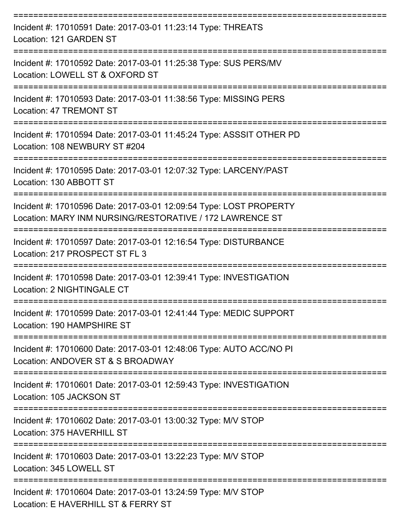| Incident #: 17010591 Date: 2017-03-01 11:23:14 Type: THREATS<br>Location: 121 GARDEN ST                                        |
|--------------------------------------------------------------------------------------------------------------------------------|
| Incident #: 17010592 Date: 2017-03-01 11:25:38 Type: SUS PERS/MV<br>Location: LOWELL ST & OXFORD ST                            |
| Incident #: 17010593 Date: 2017-03-01 11:38:56 Type: MISSING PERS<br><b>Location: 47 TREMONT ST</b>                            |
| Incident #: 17010594 Date: 2017-03-01 11:45:24 Type: ASSSIT OTHER PD<br>Location: 108 NEWBURY ST #204                          |
| Incident #: 17010595 Date: 2017-03-01 12:07:32 Type: LARCENY/PAST<br>Location: 130 ABBOTT ST                                   |
| Incident #: 17010596 Date: 2017-03-01 12:09:54 Type: LOST PROPERTY<br>Location: MARY INM NURSING/RESTORATIVE / 172 LAWRENCE ST |
| Incident #: 17010597 Date: 2017-03-01 12:16:54 Type: DISTURBANCE<br>Location: 217 PROSPECT ST FL 3                             |
| Incident #: 17010598 Date: 2017-03-01 12:39:41 Type: INVESTIGATION<br>Location: 2 NIGHTINGALE CT                               |
| Incident #: 17010599 Date: 2017-03-01 12:41:44 Type: MEDIC SUPPORT<br>Location: 190 HAMPSHIRE ST                               |
| Incident #: 17010600 Date: 2017-03-01 12:48:06 Type: AUTO ACC/NO PI<br>Location: ANDOVER ST & S BROADWAY                       |
| Incident #: 17010601 Date: 2017-03-01 12:59:43 Type: INVESTIGATION<br>Location: 105 JACKSON ST                                 |
| Incident #: 17010602 Date: 2017-03-01 13:00:32 Type: M/V STOP<br>Location: 375 HAVERHILL ST                                    |
| Incident #: 17010603 Date: 2017-03-01 13:22:23 Type: M/V STOP<br>Location: 345 LOWELL ST                                       |
| Incident #: 17010604 Date: 2017-03-01 13:24:59 Type: M/V STOP<br>Location: E HAVERHILL ST & FERRY ST                           |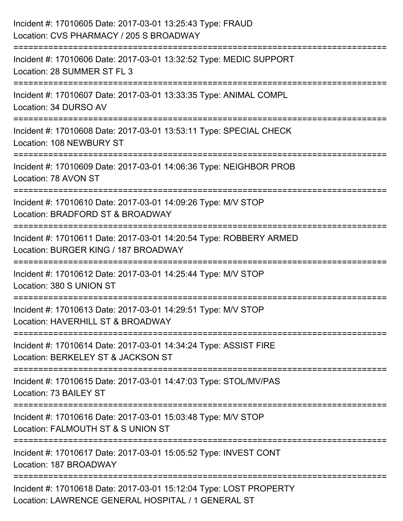| Incident #: 17010605 Date: 2017-03-01 13:25:43 Type: FRAUD<br>Location: CVS PHARMACY / 205 S BROADWAY                           |
|---------------------------------------------------------------------------------------------------------------------------------|
| :=========================<br>Incident #: 17010606 Date: 2017-03-01 13:32:52 Type: MEDIC SUPPORT<br>Location: 28 SUMMER ST FL 3 |
| Incident #: 17010607 Date: 2017-03-01 13:33:35 Type: ANIMAL COMPL<br>Location: 34 DURSO AV                                      |
| Incident #: 17010608 Date: 2017-03-01 13:53:11 Type: SPECIAL CHECK<br>Location: 108 NEWBURY ST                                  |
| Incident #: 17010609 Date: 2017-03-01 14:06:36 Type: NEIGHBOR PROB<br>Location: 78 AVON ST                                      |
| Incident #: 17010610 Date: 2017-03-01 14:09:26 Type: M/V STOP<br>Location: BRADFORD ST & BROADWAY                               |
| Incident #: 17010611 Date: 2017-03-01 14:20:54 Type: ROBBERY ARMED<br>Location: BURGER KING / 187 BROADWAY                      |
| Incident #: 17010612 Date: 2017-03-01 14:25:44 Type: M/V STOP<br>Location: 380 S UNION ST                                       |
| Incident #: 17010613 Date: 2017-03-01 14:29:51 Type: M/V STOP<br>Location: HAVERHILL ST & BROADWAY                              |
| Incident #: 17010614 Date: 2017-03-01 14:34:24 Type: ASSIST FIRE<br>Location: BERKELEY ST & JACKSON ST                          |
| Incident #: 17010615 Date: 2017-03-01 14:47:03 Type: STOL/MV/PAS<br>Location: 73 BAILEY ST                                      |
| Incident #: 17010616 Date: 2017-03-01 15:03:48 Type: M/V STOP<br>Location: FALMOUTH ST & S UNION ST                             |
| Incident #: 17010617 Date: 2017-03-01 15:05:52 Type: INVEST CONT<br>Location: 187 BROADWAY                                      |
| Incident #: 17010618 Date: 2017-03-01 15:12:04 Type: LOST PROPERTY<br>Location: LAWRENCE GENERAL HOSPITAL / 1 GENERAL ST        |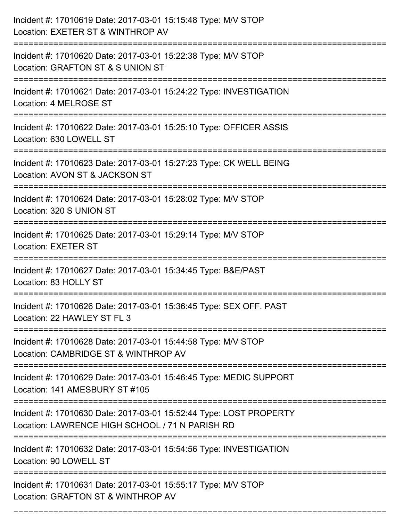| Incident #: 17010619 Date: 2017-03-01 15:15:48 Type: M/V STOP<br>Location: EXETER ST & WINTHROP AV                                          |
|---------------------------------------------------------------------------------------------------------------------------------------------|
| Incident #: 17010620 Date: 2017-03-01 15:22:38 Type: M/V STOP<br>Location: GRAFTON ST & S UNION ST                                          |
| Incident #: 17010621 Date: 2017-03-01 15:24:22 Type: INVESTIGATION<br>Location: 4 MELROSE ST                                                |
| Incident #: 17010622 Date: 2017-03-01 15:25:10 Type: OFFICER ASSIS<br>Location: 630 LOWELL ST                                               |
| Incident #: 17010623 Date: 2017-03-01 15:27:23 Type: CK WELL BEING<br>Location: AVON ST & JACKSON ST<br>;====================               |
| Incident #: 17010624 Date: 2017-03-01 15:28:02 Type: M/V STOP<br>Location: 320 S UNION ST                                                   |
| Incident #: 17010625 Date: 2017-03-01 15:29:14 Type: M/V STOP<br><b>Location: EXETER ST</b>                                                 |
| Incident #: 17010627 Date: 2017-03-01 15:34:45 Type: B&E/PAST<br>Location: 83 HOLLY ST                                                      |
| Incident #: 17010626 Date: 2017-03-01 15:36:45 Type: SEX OFF. PAST<br>Location: 22 HAWLEY ST FL 3                                           |
| Incident #: 17010628 Date: 2017-03-01 15:44:58 Type: M/V STOP<br>Location: CAMBRIDGE ST & WINTHROP AV                                       |
| Incident #: 17010629 Date: 2017-03-01 15:46:45 Type: MEDIC SUPPORT<br>Location: 141 AMESBURY ST #105                                        |
| Incident #: 17010630 Date: 2017-03-01 15:52:44 Type: LOST PROPERTY<br>Location: LAWRENCE HIGH SCHOOL / 71 N PARISH RD<br>------------------ |
| Incident #: 17010632 Date: 2017-03-01 15:54:56 Type: INVESTIGATION<br>Location: 90 LOWELL ST                                                |
| Incident #: 17010631 Date: 2017-03-01 15:55:17 Type: M/V STOP<br>Location: GRAFTON ST & WINTHROP AV                                         |

===========================================================================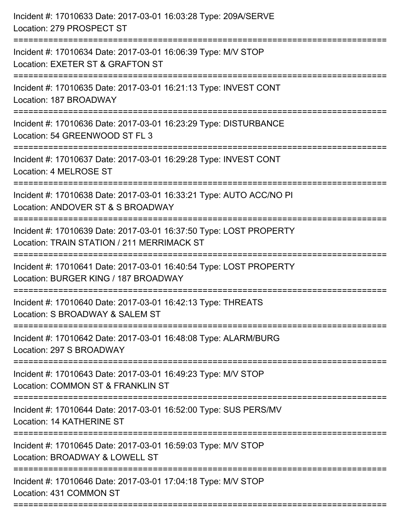| Incident #: 17010633 Date: 2017-03-01 16:03:28 Type: 209A/SERVE<br>Location: 279 PROSPECT ST                                               |
|--------------------------------------------------------------------------------------------------------------------------------------------|
| Incident #: 17010634 Date: 2017-03-01 16:06:39 Type: M/V STOP<br>Location: EXETER ST & GRAFTON ST                                          |
| Incident #: 17010635 Date: 2017-03-01 16:21:13 Type: INVEST CONT<br>Location: 187 BROADWAY                                                 |
| Incident #: 17010636 Date: 2017-03-01 16:23:29 Type: DISTURBANCE<br>Location: 54 GREENWOOD ST FL 3                                         |
| Incident #: 17010637 Date: 2017-03-01 16:29:28 Type: INVEST CONT<br>Location: 4 MELROSE ST                                                 |
| Incident #: 17010638 Date: 2017-03-01 16:33:21 Type: AUTO ACC/NO PI<br>Location: ANDOVER ST & S BROADWAY<br>:====================          |
| Incident #: 17010639 Date: 2017-03-01 16:37:50 Type: LOST PROPERTY<br>Location: TRAIN STATION / 211 MERRIMACK ST<br>====================== |
| Incident #: 17010641 Date: 2017-03-01 16:40:54 Type: LOST PROPERTY<br>Location: BURGER KING / 187 BROADWAY                                 |
| Incident #: 17010640 Date: 2017-03-01 16:42:13 Type: THREATS<br>Location: S BROADWAY & SALEM ST                                            |
| Incident #: 17010642 Date: 2017-03-01 16:48:08 Type: ALARM/BURG<br>Location: 297 S BROADWAY                                                |
| Incident #: 17010643 Date: 2017-03-01 16:49:23 Type: M/V STOP<br>Location: COMMON ST & FRANKLIN ST                                         |
| Incident #: 17010644 Date: 2017-03-01 16:52:00 Type: SUS PERS/MV<br>Location: 14 KATHERINE ST                                              |
| Incident #: 17010645 Date: 2017-03-01 16:59:03 Type: M/V STOP<br>Location: BROADWAY & LOWELL ST                                            |
| Incident #: 17010646 Date: 2017-03-01 17:04:18 Type: M/V STOP<br>Location: 431 COMMON ST                                                   |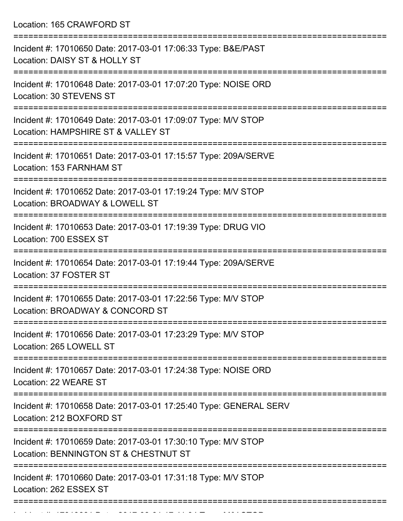Location: 165 CRAWFORD ST

| Incident #: 17010650 Date: 2017-03-01 17:06:33 Type: B&E/PAST<br>Location: DAISY ST & HOLLY ST                |
|---------------------------------------------------------------------------------------------------------------|
| Incident #: 17010648 Date: 2017-03-01 17:07:20 Type: NOISE ORD<br>Location: 30 STEVENS ST                     |
| Incident #: 17010649 Date: 2017-03-01 17:09:07 Type: M/V STOP<br>Location: HAMPSHIRE ST & VALLEY ST           |
| Incident #: 17010651 Date: 2017-03-01 17:15:57 Type: 209A/SERVE<br>Location: 153 FARNHAM ST                   |
| Incident #: 17010652 Date: 2017-03-01 17:19:24 Type: M/V STOP<br>Location: BROADWAY & LOWELL ST               |
| Incident #: 17010653 Date: 2017-03-01 17:19:39 Type: DRUG VIO<br>Location: 700 ESSEX ST                       |
| Incident #: 17010654 Date: 2017-03-01 17:19:44 Type: 209A/SERVE<br>Location: 37 FOSTER ST                     |
| Incident #: 17010655 Date: 2017-03-01 17:22:56 Type: M/V STOP<br>Location: BROADWAY & CONCORD ST              |
| Incident #: 17010656 Date: 2017-03-01 17:23:29 Type: M/V STOP<br>Location: 265 LOWELL ST                      |
| ==================<br>Incident #: 17010657 Date: 2017-03-01 17:24:38 Type: NOISE ORD<br>Location: 22 WEARE ST |
| Incident #: 17010658 Date: 2017-03-01 17:25:40 Type: GENERAL SERV<br>Location: 212 BOXFORD ST                 |
| Incident #: 17010659 Date: 2017-03-01 17:30:10 Type: M/V STOP<br>Location: BENNINGTON ST & CHESTNUT ST        |
| Incident #: 17010660 Date: 2017-03-01 17:31:18 Type: M/V STOP<br>Location: 262 ESSEX ST                       |
|                                                                                                               |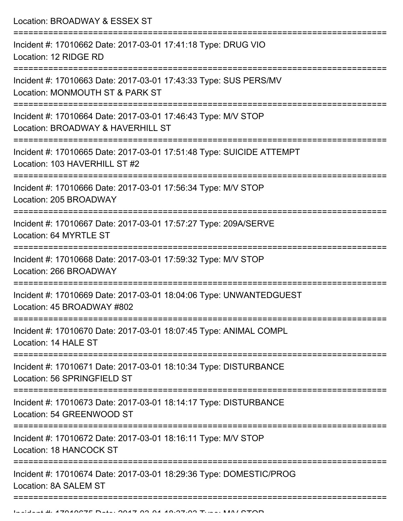Location: BROADWAY & ESSEX ST =========================================================================== Incident #: 17010662 Date: 2017-03-01 17:41:18 Type: DRUG VIO Location: 12 RIDGE RD =========================================================================== Incident #: 17010663 Date: 2017-03-01 17:43:33 Type: SUS PERS/MV Location: MONMOUTH ST & PARK ST =========================================================================== Incident #: 17010664 Date: 2017-03-01 17:46:43 Type: M/V STOP Location: BROADWAY & HAVERHILL ST =========================================================================== Incident #: 17010665 Date: 2017-03-01 17:51:48 Type: SUICIDE ATTEMPT Location: 103 HAVERHILL ST #2 =========================================================================== Incident #: 17010666 Date: 2017-03-01 17:56:34 Type: M/V STOP Location: 205 BROADWAY =========================================================================== Incident #: 17010667 Date: 2017-03-01 17:57:27 Type: 209A/SERVE Location: 64 MYRTLE ST =========================================================================== Incident #: 17010668 Date: 2017-03-01 17:59:32 Type: M/V STOP Location: 266 BROADWAY =========================================================================== Incident #: 17010669 Date: 2017-03-01 18:04:06 Type: UNWANTEDGUEST Location: 45 BROADWAY #802 =========================================================================== Incident #: 17010670 Date: 2017-03-01 18:07:45 Type: ANIMAL COMPL Location: 14 HALE ST =========================================================================== Incident #: 17010671 Date: 2017-03-01 18:10:34 Type: DISTURBANCE Location: 56 SPRINGFIFLD ST =========================================================================== Incident #: 17010673 Date: 2017-03-01 18:14:17 Type: DISTURBANCE Location: 54 GREENWOOD ST =========================================================================== Incident #: 17010672 Date: 2017-03-01 18:16:11 Type: M/V STOP Location: 18 HANCOCK ST =========================================================================== Incident #: 17010674 Date: 2017-03-01 18:29:36 Type: DOMESTIC/PROG

Location: 8A SALEM ST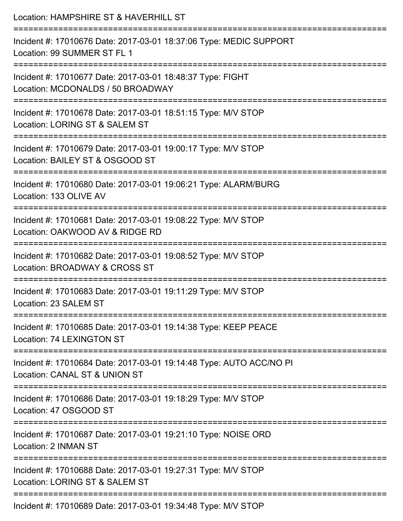| Location: HAMPSHIRE ST & HAVERHILL ST                                                                                     |
|---------------------------------------------------------------------------------------------------------------------------|
| Incident #: 17010676 Date: 2017-03-01 18:37:06 Type: MEDIC SUPPORT<br>Location: 99 SUMMER ST FL 1<br>-------------------- |
| Incident #: 17010677 Date: 2017-03-01 18:48:37 Type: FIGHT<br>Location: MCDONALDS / 50 BROADWAY                           |
| Incident #: 17010678 Date: 2017-03-01 18:51:15 Type: M/V STOP<br>Location: LORING ST & SALEM ST                           |
| Incident #: 17010679 Date: 2017-03-01 19:00:17 Type: M/V STOP<br>Location: BAILEY ST & OSGOOD ST                          |
| Incident #: 17010680 Date: 2017-03-01 19:06:21 Type: ALARM/BURG<br>Location: 133 OLIVE AV                                 |
| Incident #: 17010681 Date: 2017-03-01 19:08:22 Type: M/V STOP<br>Location: OAKWOOD AV & RIDGE RD                          |
| Incident #: 17010682 Date: 2017-03-01 19:08:52 Type: M/V STOP<br>Location: BROADWAY & CROSS ST                            |
| Incident #: 17010683 Date: 2017-03-01 19:11:29 Type: M/V STOP<br>Location: 23 SALEM ST                                    |
| Incident #: 17010685 Date: 2017-03-01 19:14:38 Type: KEEP PEACE<br>Location: 74 LEXINGTON ST                              |
| Incident #: 17010684 Date: 2017-03-01 19:14:48 Type: AUTO ACC/NO PI<br>Location: CANAL ST & UNION ST                      |
| Incident #: 17010686 Date: 2017-03-01 19:18:29 Type: M/V STOP<br>Location: 47 OSGOOD ST                                   |
| Incident #: 17010687 Date: 2017-03-01 19:21:10 Type: NOISE ORD<br>Location: 2 INMAN ST                                    |
| Incident #: 17010688 Date: 2017-03-01 19:27:31 Type: M/V STOP<br>Location: LORING ST & SALEM ST                           |
| Incident #: 17010689 Date: 2017-03-01 19:34:48 Type: M/V STOP                                                             |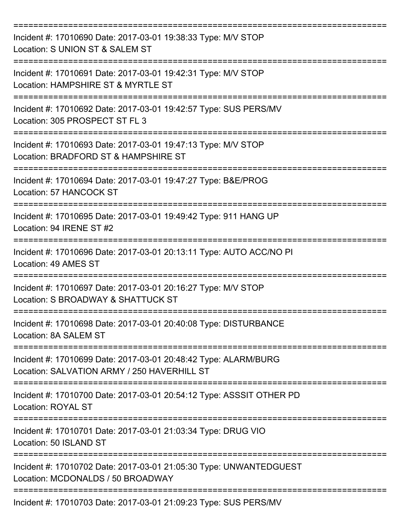| Incident #: 17010690 Date: 2017-03-01 19:38:33 Type: M/V STOP<br>Location: S UNION ST & SALEM ST               |
|----------------------------------------------------------------------------------------------------------------|
| Incident #: 17010691 Date: 2017-03-01 19:42:31 Type: M/V STOP<br>Location: HAMPSHIRE ST & MYRTLE ST            |
| Incident #: 17010692 Date: 2017-03-01 19:42:57 Type: SUS PERS/MV<br>Location: 305 PROSPECT ST FL 3             |
| Incident #: 17010693 Date: 2017-03-01 19:47:13 Type: M/V STOP<br>Location: BRADFORD ST & HAMPSHIRE ST          |
| Incident #: 17010694 Date: 2017-03-01 19:47:27 Type: B&E/PROG<br><b>Location: 57 HANCOCK ST</b>                |
| Incident #: 17010695 Date: 2017-03-01 19:49:42 Type: 911 HANG UP<br>Location: 94 IRENE ST #2                   |
| Incident #: 17010696 Date: 2017-03-01 20:13:11 Type: AUTO ACC/NO PI<br>Location: 49 AMES ST                    |
| Incident #: 17010697 Date: 2017-03-01 20:16:27 Type: M/V STOP<br>Location: S BROADWAY & SHATTUCK ST            |
| Incident #: 17010698 Date: 2017-03-01 20:40:08 Type: DISTURBANCE<br>Location: 8A SALEM ST                      |
| Incident #: 17010699 Date: 2017-03-01 20:48:42 Type: ALARM/BURG<br>Location: SALVATION ARMY / 250 HAVERHILL ST |
| Incident #: 17010700 Date: 2017-03-01 20:54:12 Type: ASSSIT OTHER PD<br><b>Location: ROYAL ST</b>              |
| Incident #: 17010701 Date: 2017-03-01 21:03:34 Type: DRUG VIO<br>Location: 50 ISLAND ST                        |
| Incident #: 17010702 Date: 2017-03-01 21:05:30 Type: UNWANTEDGUEST<br>Location: MCDONALDS / 50 BROADWAY        |
| Incident #: 17010703 Date: 2017-03-01 21:09:23 Type: SUS PERS/MV                                               |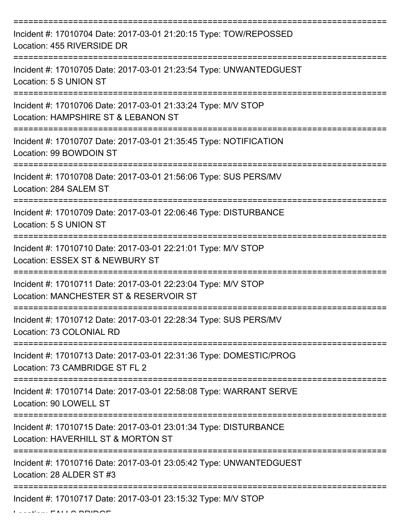| Incident #: 17010704 Date: 2017-03-01 21:20:15 Type: TOW/REPOSSED<br>Location: 455 RIVERSIDE DR         |
|---------------------------------------------------------------------------------------------------------|
| Incident #: 17010705 Date: 2017-03-01 21:23:54 Type: UNWANTEDGUEST<br>Location: 5 S UNION ST            |
| Incident #: 17010706 Date: 2017-03-01 21:33:24 Type: M/V STOP<br>Location: HAMPSHIRE ST & LEBANON ST    |
| Incident #: 17010707 Date: 2017-03-01 21:35:45 Type: NOTIFICATION<br>Location: 99 BOWDOIN ST            |
| Incident #: 17010708 Date: 2017-03-01 21:56:06 Type: SUS PERS/MV<br>Location: 284 SALEM ST              |
| Incident #: 17010709 Date: 2017-03-01 22:06:46 Type: DISTURBANCE<br>Location: 5 S UNION ST              |
| Incident #: 17010710 Date: 2017-03-01 22:21:01 Type: M/V STOP<br>Location: ESSEX ST & NEWBURY ST        |
| Incident #: 17010711 Date: 2017-03-01 22:23:04 Type: M/V STOP<br>Location: MANCHESTER ST & RESERVOIR ST |
| Incident #: 17010712 Date: 2017-03-01 22:28:34 Type: SUS PERS/MV<br>Location: 73 COLONIAL RD            |
| Incident #: 17010713 Date: 2017-03-01 22:31:36 Type: DOMESTIC/PROG<br>Location: 73 CAMBRIDGE ST FL 2    |
| Incident #: 17010714 Date: 2017-03-01 22:58:08 Type: WARRANT SERVE<br>Location: 90 LOWELL ST            |
| Incident #: 17010715 Date: 2017-03-01 23:01:34 Type: DISTURBANCE<br>Location: HAVERHILL ST & MORTON ST  |
| Incident #: 17010716 Date: 2017-03-01 23:05:42 Type: UNWANTEDGUEST<br>Location: 28 ALDER ST #3          |
| Incident #: 17010717 Date: 2017-03-01 23:15:32 Type: M/V STOP                                           |